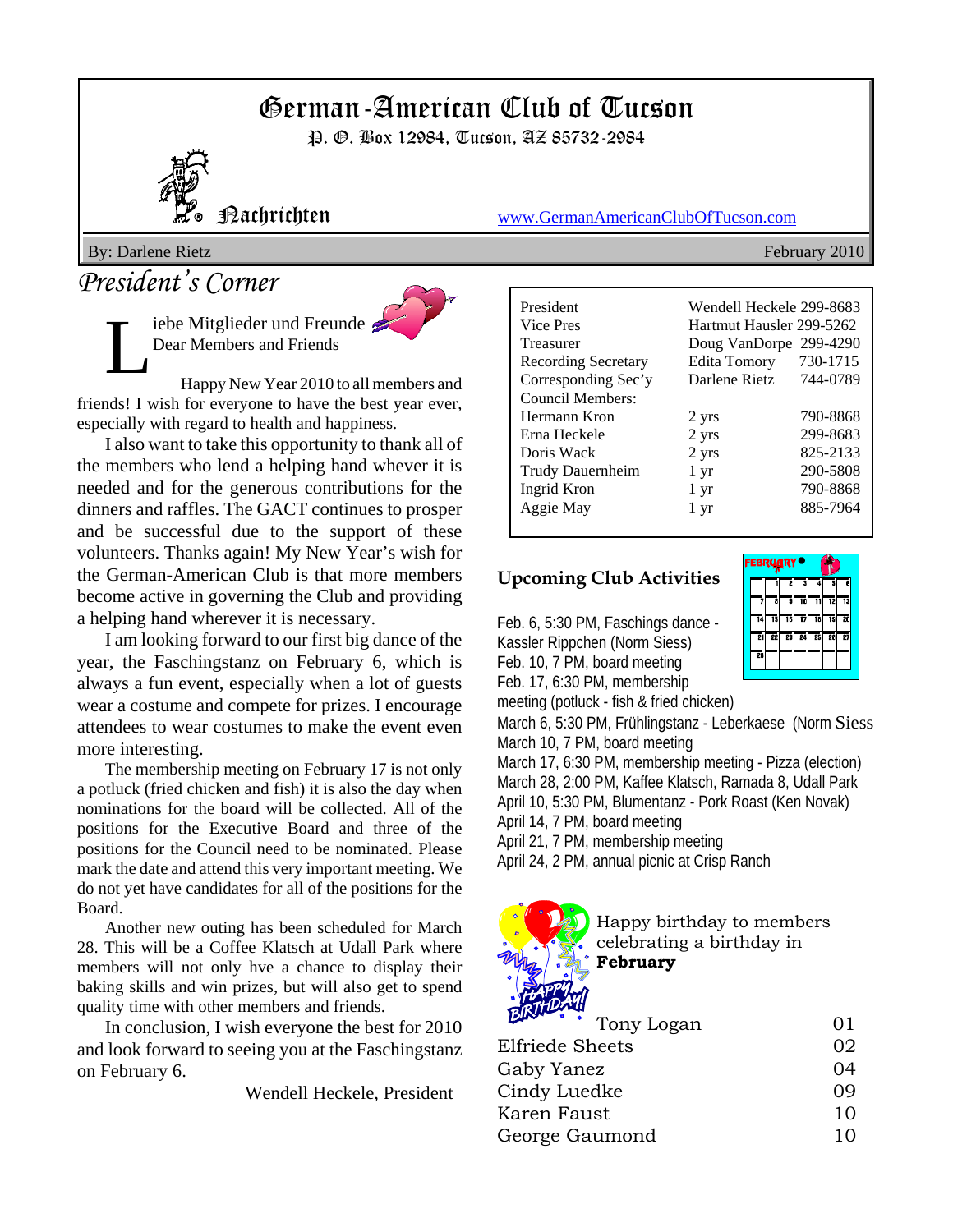# German-American Club of Tucson

P. *G.* Box 12984, Tucson, AZ 85732-2984



Nachrichten www.GermanAmericanClubOfTucson.com

By: Darlene Rietz February 2010

## *President's Corner*

iebe Mitglieder und Freunde Dear Members and Friends



Happy New Year 2010 to all members and friends! I wish for everyone to have the best year ever, especially with regard to health and happiness.

I also want to take this opportunity to thank all of the members who lend a helping hand whever it is needed and for the generous contributions for the dinners and raffles. The GACT continues to prosper and be successful due to the support of these volunteers. Thanks again! My New Year's wish for the German-American Club is that more members become active in governing the Club and providing a helping hand wherever it is necessary.

I am looking forward to our first big dance of the year, the Faschingstanz on February 6, which is always a fun event, especially when a lot of guests wear a costume and compete for prizes. I encourage attendees to wear costumes to make the event even more interesting.

The membership meeting on February 17 is not only a potluck (fried chicken and fish) it is also the day when nominations for the board will be collected. All of the positions for the Executive Board and three of the positions for the Council need to be nominated. Please mark the date and attend this very important meeting. We do not yet have candidates for all of the positions for the Board.

Another new outing has been scheduled for March 28. This will be a Coffee Klatsch at Udall Park where members will not only hve a chance to display their baking skills and win prizes, but will also get to spend quality time with other members and friends.

In conclusion, I wish everyone the best for 2010 and look forward to seeing you at the Faschingstanz on February 6.

Wendell Heckele, President

| President                  | Wendell Heckele 299-8683 |          |  |  |  |
|----------------------------|--------------------------|----------|--|--|--|
| Vice Pres                  | Hartmut Hausler 299-5262 |          |  |  |  |
| Treasurer                  | Doug VanDorpe 299-4290   |          |  |  |  |
| <b>Recording Secretary</b> | <b>Edita Tomory</b>      | 730-1715 |  |  |  |
| Corresponding Sec'y        | Darlene Rietz            | 744-0789 |  |  |  |
| Council Members:           |                          |          |  |  |  |
| Hermann Kron               | 2 yrs                    | 790-8868 |  |  |  |
| Erna Heckele               | 2 yrs                    | 299-8683 |  |  |  |
| Doris Wack                 | 2 yrs                    | 825-2133 |  |  |  |
| Trudy Dauernheim           | 1 yr                     | 290-5808 |  |  |  |
| Ingrid Kron                | 1 yr                     | 790-8868 |  |  |  |
| Aggie May                  | 1 yr                     | 885-7964 |  |  |  |
|                            |                          |          |  |  |  |

#### **Upcoming Club Activities**

Feb. 6, 5:30 PM, Faschings dance - Kassler Rippchen (Norm Siess) Feb. 10, 7 PM, board meeting Feb. 17, 6:30 PM, membership meeting (potluck - fish & fried chicken)

March 6, 5:30 PM, Frühlingstanz - Leberkaese (Norm Siess March 10, 7 PM, board meeting

March 17, 6:30 PM, membership meeting - Pizza (election) March 28, 2:00 PM, Kaffee Klatsch, Ramada 8, Udall Park April 10, 5:30 PM, Blumentanz - Pork Roast (Ken Novak)

April 14, 7 PM, board meeting

April 21, 7 PM, membership meeting

April 24, 2 PM, annual picnic at Crisp Ranch



Happy birthday to members celebrating a birthday in **February**

| <b>BIRTHDAY!</b> |    |
|------------------|----|
| Tony Logan       | O1 |
| Elfriede Sheets  | 02 |
| Gaby Yanez       | 04 |
| Cindy Luedke     | 09 |
| Karen Faust      | 10 |
| George Gaumond   | 10 |
|                  |    |

| ЕВКУЯКТ <sup>—</sup> |    |    |     |    |    |    |  |
|----------------------|----|----|-----|----|----|----|--|
|                      |    | 2  | 3   |    | ī. | Ġ  |  |
|                      | Ā  | ā  | TO. | īı | 12 | 13 |  |
| 14                   | тs | 16 | 17  | īi | 19 | 70 |  |
| 21                   | 21 | 73 | 고   | 과  | 76 | 77 |  |
| 28                   |    |    |     |    |    |    |  |
|                      |    |    |     |    |    |    |  |